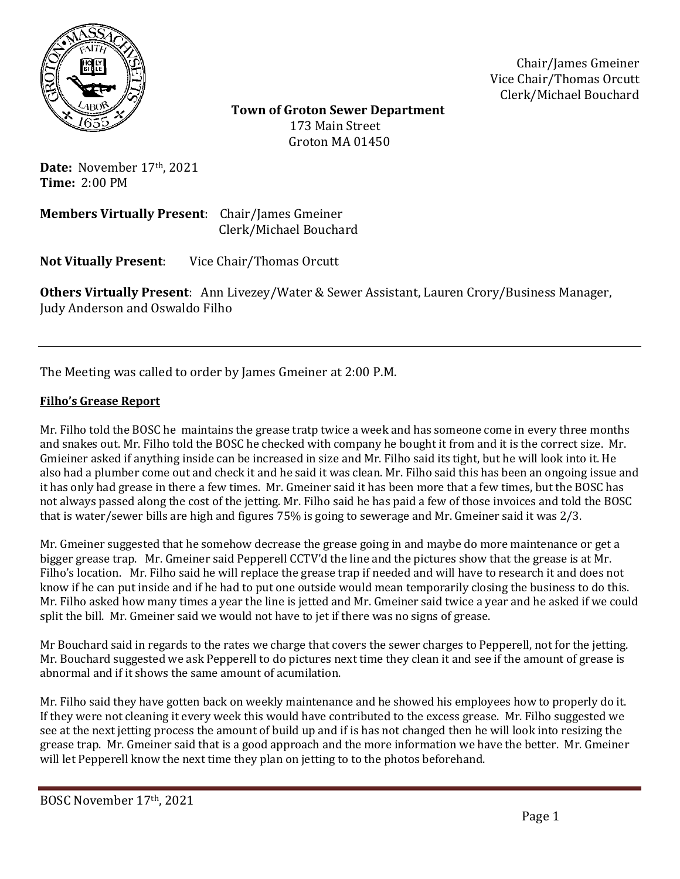

Chair/James Gmeiner Vice Chair/Thomas Orcutt Clerk/Michael Bouchard

 **Town of Groton Sewer Department** 173 Main Street Groton MA 01450

Date: November 17<sup>th</sup>, 2021 **Time:** 2:00 PM

**Members Virtually Present**: Chair/James Gmeiner Clerk/Michael Bouchard

**Not Vitually Present**: Vice Chair/Thomas Orcutt

**Others Virtually Present**: Ann Livezey/Water & Sewer Assistant, Lauren Crory/Business Manager, Judy Anderson and Oswaldo Filho

The Meeting was called to order by James Gmeiner at 2:00 P.M.

## **Filho's Grease Report**

Mr. Filho told the BOSC he maintains the grease tratp twice a week and has someone come in every three months and snakes out. Mr. Filho told the BOSC he checked with company he bought it from and it is the correct size. Mr. Gmieiner asked if anything inside can be increased in size and Mr. Filho said its tight, but he will look into it. He also had a plumber come out and check it and he said it was clean. Mr. Filho said this has been an ongoing issue and it has only had grease in there a few times. Mr. Gmeiner said it has been more that a few times, but the BOSC has not always passed along the cost of the jetting. Mr. Filho said he has paid a few of those invoices and told the BOSC that is water/sewer bills are high and figures 75% is going to sewerage and Mr. Gmeiner said it was 2/3.

Mr. Gmeiner suggested that he somehow decrease the grease going in and maybe do more maintenance or get a bigger grease trap. Mr. Gmeiner said Pepperell CCTV'd the line and the pictures show that the grease is at Mr. Filho's location. Mr. Filho said he will replace the grease trap if needed and will have to research it and does not know if he can put inside and if he had to put one outside would mean temporarily closing the business to do this. Mr. Filho asked how many times a year the line is jetted and Mr. Gmeiner said twice a year and he asked if we could split the bill. Mr. Gmeiner said we would not have to jet if there was no signs of grease.

Mr Bouchard said in regards to the rates we charge that covers the sewer charges to Pepperell, not for the jetting. Mr. Bouchard suggested we ask Pepperell to do pictures next time they clean it and see if the amount of grease is abnormal and if it shows the same amount of acumilation.

Mr. Filho said they have gotten back on weekly maintenance and he showed his employees how to properly do it. If they were not cleaning it every week this would have contributed to the excess grease. Mr. Filho suggested we see at the next jetting process the amount of build up and if is has not changed then he will look into resizing the grease trap. Mr. Gmeiner said that is a good approach and the more information we have the better. Mr. Gmeiner will let Pepperell know the next time they plan on jetting to to the photos beforehand.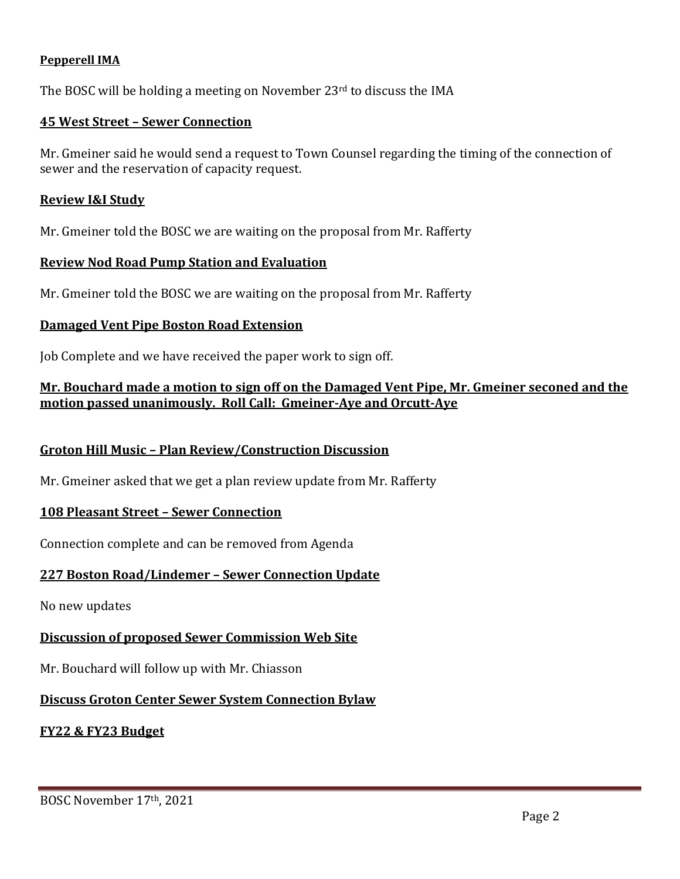## **Pepperell IMA**

The BOSC will be holding a meeting on November  $23<sup>rd</sup>$  to discuss the IMA

#### **45 West Street – Sewer Connection**

Mr. Gmeiner said he would send a request to Town Counsel regarding the timing of the connection of sewer and the reservation of capacity request.

#### **Review I&I Study**

Mr. Gmeiner told the BOSC we are waiting on the proposal from Mr. Rafferty

#### **Review Nod Road Pump Station and Evaluation**

Mr. Gmeiner told the BOSC we are waiting on the proposal from Mr. Rafferty

## **Damaged Vent Pipe Boston Road Extension**

Job Complete and we have received the paper work to sign off.

## **Mr. Bouchard made a motion to sign off on the Damaged Vent Pipe, Mr. Gmeiner seconed and the motion passed unanimously. Roll Call: Gmeiner-Aye and Orcutt-Aye**

## **Groton Hill Music – Plan Review/Construction Discussion**

Mr. Gmeiner asked that we get a plan review update from Mr. Rafferty

## **108 Pleasant Street – Sewer Connection**

Connection complete and can be removed from Agenda

## **227 Boston Road/Lindemer – Sewer Connection Update**

No new updates

## **Discussion of proposed Sewer Commission Web Site**

Mr. Bouchard will follow up with Mr. Chiasson

# **Discuss Groton Center Sewer System Connection Bylaw**

## **FY22 & FY23 Budget**